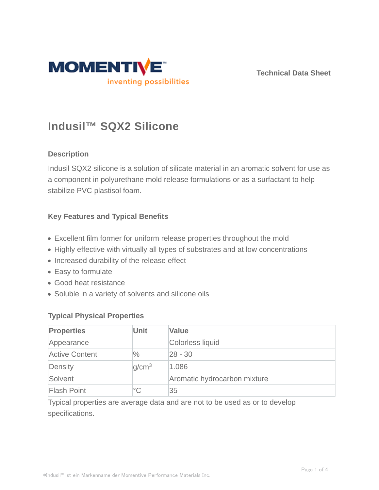

**Technical Data Sheet**

# **Indusil™ SQX2 Silicone**

# **Description**

Indusil SQX2 silicone is a solution of silicate material in an aromatic solvent for use as a component in polyurethane mold release formulations or as a surfactant to help stabilize PVC plastisol foam.

# **Key Features and Typical Benefits**

- Excellent film former for uniform release properties throughout the mold
- Highly effective with virtually all types of substrates and at low concentrations
- Increased durability of the release effect
- Easy to formulate
- Good heat resistance
- Soluble in a variety of solvents and silicone oils

#### **Typical Physical Properties**

| <b>Properties</b>     | <b>Unit</b>       | <b>Value</b>                 |
|-----------------------|-------------------|------------------------------|
| Appearance            |                   | Colorless liquid             |
| <b>Active Content</b> | $\%$              | $ 28 - 30$                   |
| Density               | q/cm <sup>3</sup> | 1.086                        |
| Solvent               |                   | Aromatic hydrocarbon mixture |
| <b>Flash Point</b>    | $^{\circ}C$       | 35                           |

Typical properties are average data and are not to be used as or to develop specifications.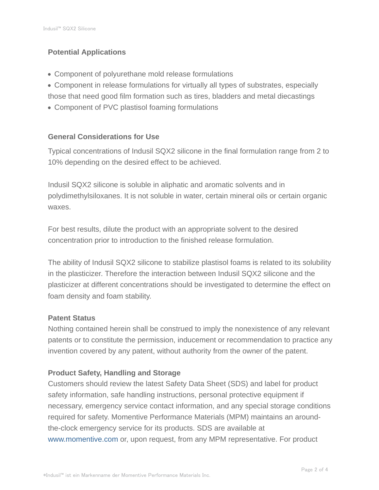# **Potential Applications**

- Component of polyurethane mold release formulations
- Component in release formulations for virtually all types of substrates, especially those that need good film formation such as tires, bladders and metal diecastings
- Component of PVC plastisol foaming formulations

# **General Considerations for Use**

Typical concentrations of Indusil SQX2 silicone in the final formulation range from 2 to 10% depending on the desired effect to be achieved.

Indusil SQX2 silicone is soluble in aliphatic and aromatic solvents and in polydimethylsiloxanes. It is not soluble in water, certain mineral oils or certain organic waxes.

For best results, dilute the product with an appropriate solvent to the desired concentration prior to introduction to the finished release formulation.

The ability of Indusil SQX2 silicone to stabilize plastisol foams is related to its solubility in the plasticizer. Therefore the interaction between Indusil SQX2 silicone and the plasticizer at different concentrations should be investigated to determine the effect on foam density and foam stability.

#### **Patent Status**

Nothing contained herein shall be construed to imply the nonexistence of any relevant patents or to constitute the permission, inducement or recommendation to practice any invention covered by any patent, without authority from the owner of the patent.

# **Product Safety, Handling and Storage**

Customers should review the latest Safety Data Sheet (SDS) and label for product safety information, safe handling instructions, personal protective equipment if necessary, emergency service contact information, and any special storage conditions required for safety. Momentive Performance Materials (MPM) maintains an aroundthe-clock emergency service for its products. SDS are available at www.momentive.com or, upon request, from any MPM representative. For product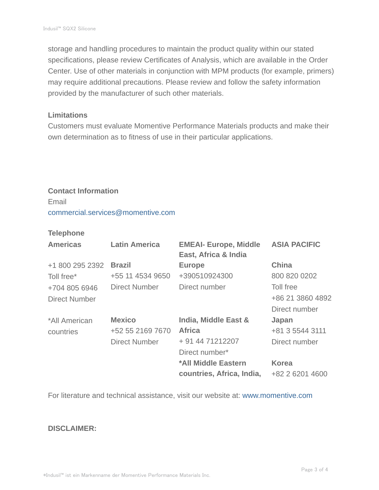storage and handling procedures to maintain the product quality within our stated specifications, please review Certificates of Analysis, which are available in the Order Center. Use of other materials in conjunction with MPM products (for example, primers) may require additional precautions. Please review and follow the safety information provided by the manufacturer of such other materials.

#### **Limitations**

Customers must evaluate Momentive Performance Materials products and make their own determination as to fitness of use in their particular applications.

# **Contact Information** Email commercial.services@momentive.com

#### **Telephone**

| <b>Americas</b>      | <b>Latin America</b> | <b>EMEAI- Europe, Middle</b><br>East, Africa & India | <b>ASIA PACIFIC</b> |
|----------------------|----------------------|------------------------------------------------------|---------------------|
| +1 800 295 2392      | <b>Brazil</b>        | <b>Europe</b>                                        | <b>China</b>        |
| Toll free*           | +55 11 4534 9650     | +390510924300                                        | 800 820 0202        |
| +704 805 6946        | <b>Direct Number</b> | Direct number                                        | Toll free           |
| <b>Direct Number</b> |                      |                                                      | +86 21 3860 4892    |
|                      |                      |                                                      | Direct number       |
| *All American        | <b>Mexico</b>        | <b>India, Middle East &amp;</b>                      | Japan               |
| countries            | +52 55 2169 7670     | <b>Africa</b>                                        | +81 3 5544 3111     |
|                      | <b>Direct Number</b> | + 91 44 71212207                                     | Direct number       |
|                      |                      | Direct number*                                       |                     |
|                      |                      | *All Middle Eastern                                  | <b>Korea</b>        |
|                      |                      | countries, Africa, India,                            | +82 2 6201 4600     |

For literature and technical assistance, visit our website at: www.momentive.com

#### **DISCLAIMER:**